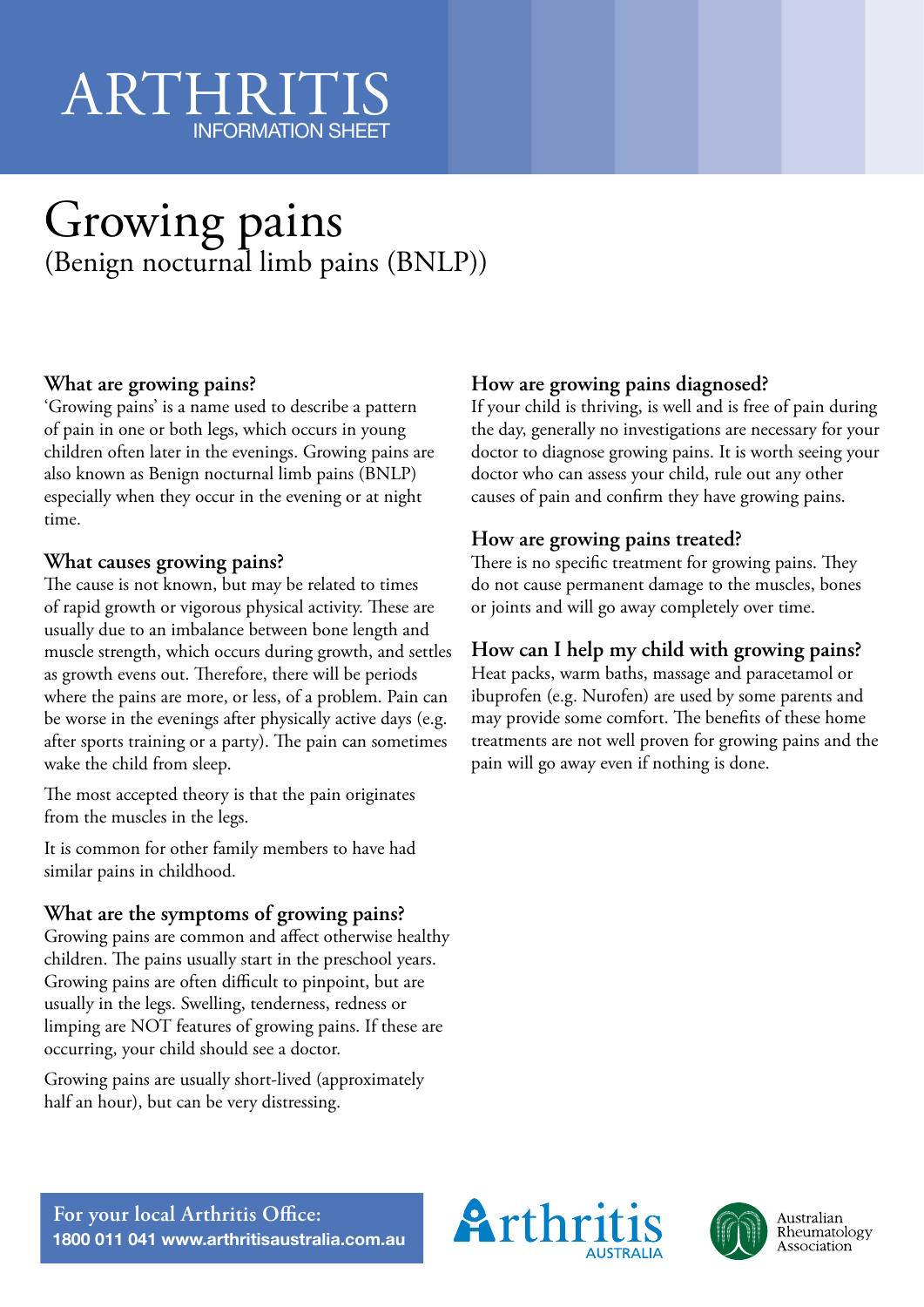# ARTHRIT INFORMATION SHEET

# Growing pains (Benign nocturnal limb pains (BNLP))

## **What are growing pains?**

'Growing pains' is a name used to describe a pattern of pain in one or both legs, which occurs in young children often later in the evenings. Growing pains are also known as Benign nocturnal limb pains (BNLP) especially when they occur in the evening or at night time.

#### **What causes growing pains?**

The cause is not known, but may be related to times of rapid growth or vigorous physical activity. These are usually due to an imbalance between bone length and muscle strength, which occurs during growth, and settles as growth evens out. Therefore, there will be periods where the pains are more, or less, of a problem. Pain can be worse in the evenings after physically active days (e.g. after sports training or a party). The pain can sometimes wake the child from sleep.

The most accepted theory is that the pain originates from the muscles in the legs.

It is common for other family members to have had similar pains in childhood.

## **What are the symptoms of growing pains?**

Growing pains are common and affect otherwise healthy children. The pains usually start in the preschool years. Growing pains are often difficult to pinpoint, but are usually in the legs. Swelling, tenderness, redness or limping are NOT features of growing pains. If these are occurring, your child should see a doctor.

Growing pains are usually short-lived (approximately half an hour), but can be very distressing.

# **How are growing pains diagnosed?**

If your child is thriving, is well and is free of pain during the day, generally no investigations are necessary for your doctor to diagnose growing pains. It is worth seeing your doctor who can assess your child, rule out any other causes of pain and confirm they have growing pains.

### **How are growing pains treated?**

There is no specific treatment for growing pains. They do not cause permanent damage to the muscles, bones or joints and will go away completely over time.

# **How can I help my child with growing pains?**

Heat packs, warm baths, massage and paracetamol or ibuprofen (e.g. Nurofen) are used by some parents and may provide some comfort. The benefits of these home treatments are not well proven for growing pains and the pain will go away even if nothing is done.